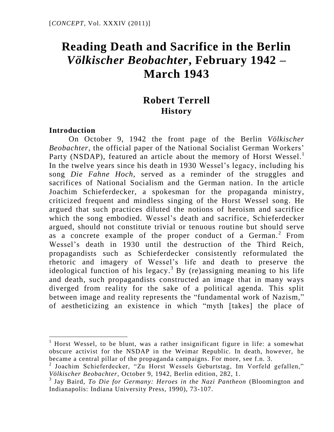# **Reading Death and Sacrifice in the Berlin**  *Völkischer Beobachter***, February 1942 – March 1943**

# **Robert Terrell History**

#### **Introduction**

 $\overline{a}$ 

On October 9, 1942 the front page of the Berlin *Völkischer Beobachter*, the official paper of the National Socialist German Workers' Party (NSDAP), featured an article about the memory of Horst Wessel.<sup>1</sup> In the twelve years since his death in 1930 Wessel's legacy, including his song *Die Fahne Hoch,* served as a reminder of the struggles and sacrifices of National Socialism and the German nation. In the article Joachim Schieferdecker, a spokesman for the propaganda ministry, criticized frequent and mindless singing of the Horst Wessel song. He argued that such practices diluted the notions of heroism and sacrifice which the song embodied. Wessel's death and sacrifice, Schieferdecker argued, should not constitute trivial or tenuous routine but should serve as a concrete example of the proper conduct of a German.<sup>2</sup> From Wessel"s death in 1930 until the destruction of the Third Reich, propagandists such as Schieferdecker consistently reformulated the rhetoric and imagery of Wessel"s life and death to preserve the ideological function of his legacy.<sup>3</sup> By (re)assigning meaning to his life and death, such propagandists constructed an image that in many ways diverged from reality for the sake of a political agenda. This split between image and reality represents the "fundamental work of Nazism," of aestheticizing an existence in which "myth [takes] the place of

<sup>&</sup>lt;sup>1</sup> Horst Wessel, to be blunt, was a rather insignificant figure in life: a somewhat obscure activist for the NSDAP in the Weimar Republic. In death, however, he became a central pillar of the propaganda campaigns. For more, see f.n. 3.

<sup>&</sup>lt;sup>2</sup> Joachim Schieferdecker, "Zu Horst Wessels Geburtstag, Im Vorfeld gefallen," *Völkischer Beobachter,* October 9, 1942, Berlin edition, 282, 1.

<sup>&</sup>lt;sup>3</sup> Jay Baird, *To Die for Germany: Heroes in the Nazi Pantheon* (Bloomington and Indianapolis: Indiana University Press, 1990), 73-107.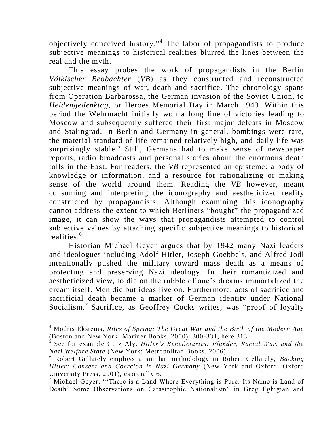objectively conceived history."<sup>4</sup> The labor of propagandists to produce subjective meanings to historical realities blurred the lines between the real and the myth.

This essay probes the work of propagandists in the Berlin *Völkischer Beobachter* (*VB*) as they constructed and reconstructed subjective meanings of war, death and sacrifice. The chronology spans from Operation Barbarossa, the German invasion of the Soviet Union, to *Heldengedenktag,* or Heroes Memorial Day in March 1943. Within this period the Wehrmacht initially won a long line of victories leading to Moscow and subsequently suffered their first major defeats in Moscow and Stalingrad. In Berlin and Germany in general, bombings were rare, the material standard of life remained relatively high, and daily life was surprisingly stable.<sup>5</sup> Still, Germans had to make sense of newspaper reports, radio broadcasts and personal stories about the enormous death tolls in the East. For readers, the *VB* represented an episteme: a body of knowledge or information, and a resource for rationalizing or making sense of the world around them. Reading the *VB* however, meant consuming and interpreting the iconography and aestheticized reality constructed by propagandists. Although examining this iconography cannot address the extent to which Berliners "bought" the propagandized image, it can show the ways that propagandists attempted to control subjective values by attaching specific subjective meanings to historical realities. 6

Historian Michael Geyer argues that by 1942 many Nazi leaders and ideologues including Adolf Hitler, Joseph Goebbels, and Alfred Jodl intentionally pushed the military toward mass death as a means of protecting and preserving Nazi ideology. In their romanticized and aestheticized view, to die on the rubble of one"s dreams immortalized the dream itself. Men die but ideas live on. Furthermore, acts of sacrifice and sacrificial death became a marker of German identity under National Socialism.<sup>7</sup> Sacrifice, as Geoffrey Cocks writes, was "proof of loyalty

<sup>4</sup> Modris Eksteins, *Rites of Spring: The Great War and the Birth of the Modern Age*  (Boston and New York: Mariner Books, 2000), 300-331, here 313.

See for example Götz Aly, *Hitler's Beneficiaries: Plunder, Racial War, and the Nazi Welfare State* (New York: Metropolitan Books, 2006).

<sup>6</sup> Robert Gellately employs a similar methodology in Robert Gellately, *Backing Hitler: Consent and Coercion in Nazi Germany* (New York and Oxford: Oxford University Press, 2001), especially 6.

<sup>7</sup> Michael Geyer, ""There is a Land Where Everything is Pure: Its Name is Land of Death" Some Observations on Catastrophic Nationalism" in Greg Eghigian and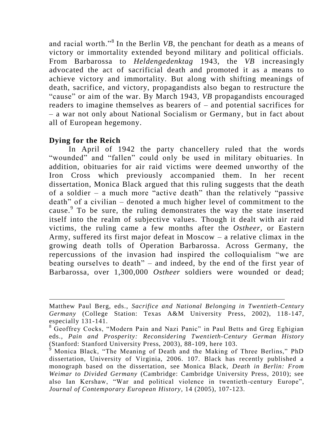and racial worth."<sup>8</sup> In the Berlin *VB*, the penchant for death as a means of victory or immortality extended beyond military and political officials. From Barbarossa to *Heldengedenktag* 1943, the *VB* increasingly advocated the act of sacrificial death and promoted it as a means to achieve victory and immortality. But along with shifting meanings of death, sacrifice, and victory, propagandists also began to restructure the "cause" or aim of the war. By March 1943, *VB* propagandists encouraged readers to imagine themselves as bearers of – and potential sacrifices for – a war not only about National Socialism or Germany, but in fact about all of European hegemony.

# **Dying for the Reich**

 $\overline{a}$ 

In April of 1942 the party chancellery ruled that the words "wounded" and "fallen" could only be used in military obituaries. In addition, obituaries for air raid victims were deemed unworthy of the Iron Cross which previously accompanied them. In her recent dissertation, Monica Black argued that this ruling suggests that the death of a soldier – a much more "active death" than the relatively "passive death" of a civilian – denoted a much higher level of commitment to the cause. To be sure, the ruling demonstrates the way the state inserted itself into the realm of subjective values. Though it dealt with air raid victims, the ruling came a few months after the *Ostheer,* or Eastern Army, suffered its first major defeat in Moscow – a relative climax in the growing death tolls of Operation Barbarossa. Across Germany, the repercussions of the invasion had inspired the colloquialism "we are beating ourselves to death" – and indeed, by the end of the first year of Barbarossa, over 1,300,000 *Ostheer* soldiers were wounded or dead;

Matthew Paul Berg, eds., *Sacrifice and National Belonging in Twentieth-Century*  Germany (College Station: Texas A&M University Press, 2002), 118-147, especially 131-141.

<sup>&</sup>lt;sup>8</sup> Geoffrey Cocks, "Modern Pain and Nazi Panic" in Paul Betts and Greg Eghigian eds., *Pain and Prosperity: Reconsidering Twentieth-Century German History*  (Stanford: Stanford University Press, 2003), 88-109, here 103.

<sup>&</sup>lt;sup>9</sup> Monica Black, "The Meaning of Death and the Making of Three Berlins," PhD dissertation, University of Virginia, 2006. 107. Black has recently published a monograph based on the dissertation, see Monica Black, *Death in Berlin: From Weimar to Divided Germany* (Cambridge: Cambridge University Press, 2010); see also Ian Kershaw, "War and political violence in twentieth-century Europe", *Journal of Contemporary European History,* 14 (2005), 107-123.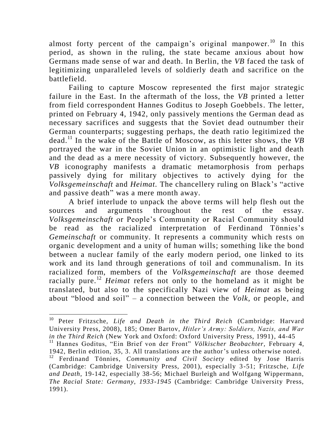almost forty percent of the campaign's original manpower.<sup>10</sup> In this period, as shown in the ruling, the state became anxious about how Germans made sense of war and death. In Berlin, the *VB* faced the task of legitimizing unparalleled levels of soldierly death and sacrifice on the battlefield.

Failing to capture Moscow represented the first major strategic failure in the East. In the aftermath of the loss, the *VB* printed a letter from field correspondent Hannes Goditus to Joseph Goebbels. The letter, printed on February 4, 1942, only passively mentions the German dead as necessary sacrifices and suggests that the Soviet dead outnumber their German counterparts; suggesting perhaps, the death ratio legitimized the dead. <sup>11</sup> In the wake of the Battle of Moscow, as this letter shows, the *VB* portrayed the war in the Soviet Union in an optimistic light and death and the dead as a mere necessity of victory. Subsequently however, the *VB* iconography manifests a dramatic metamorphosis from perhaps passively dying for military objectives to actively dying for the *Volksgemeinschaft* and *Heimat.* The chancellery ruling on Black"s "active and passive death" was a mere month away.

A brief interlude to unpack the above terms will help flesh out the sources and arguments throughout the rest of the essay. *Volksgemeinschaft* or People"s Community or Racial Community should be read as the racialized interpretation of Ferdinand Tönnies's *Gemeinschaft* or community. It represents a community which rests on organic development and a unity of human wills; something like the bond between a nuclear family of the early modern period, one linked to its work and its land through generations of toil and communalism. In its racialized form, members of the *Volksgemeinschaft* are those deemed racially pure.<sup>12</sup> *Heimat* refers not only to the homeland as it might be translated, but also to the specifically Nazi view of *Heimat* as being about "blood and soil" – a connection between the *Volk,* or people, and

<sup>10</sup> Peter Fritzsche, *Life and Death in the Third Reich* (Cambridge: Harvard University Press, 2008), 185; Omer Bartov, *Hitler's Army: Soldiers, Nazis, and War in the Third Reich* (New York and Oxford: Oxford University Press, 1991), 44-45

<sup>11</sup> Hannes Goditus, "Ein Brief von der Front" *Völkischer Beobachter,* February 4, 1942, Berlin edition, 35, 3. All translations are the author"s unless otherwise noted.

<sup>12</sup> Ferdinand Tönnies, *Community and Civil Society* edited by Jose Harris (Cambridge: Cambridge University Press, 2001), especially 3-51; Fritzsche, *Life and Death,* 19-142, especially 38-56; Michael Burleigh and Wolfgang Wippermann, *The Racial State: Germany, 1933-1945* (Cambridge: Cambridge University Press, 1991).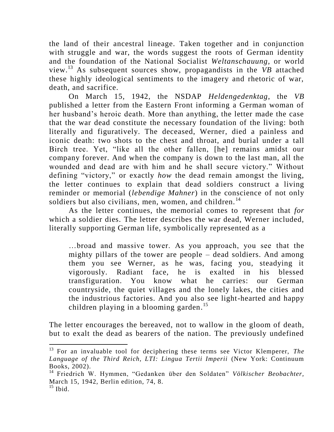the land of their ancestral lineage. Taken together and in conjunction with struggle and war, the words suggest the roots of German identity and the foundation of the National Socialist *Weltanschauung,* or world view.<sup>13</sup> As subsequent sources show, propagandists in the *VB* attached these highly ideological sentiments to the imagery and rhetoric of war, death, and sacrifice.

On March 15, 1942, the NSDAP *Heldengedenktag*, the *VB*  published a letter from the Eastern Front informing a German woman of her husband"s heroic death. More than anything, the letter made the case that the war dead constitute the necessary foundation of the living: both literally and figuratively. The deceased, Werner, died a painless and iconic death: two shots to the chest and throat, and burial under a tall Birch tree. Yet, "like all the other fallen, [he] remains amidst our company forever. And when the company is down to the last man, all the wounded and dead are with him and he shall secure victory." Without defining "victory," or exactly *how* the dead remain amongst the living, the letter continues to explain that dead soldiers construct a living reminder or memorial (*lebendige Mahner*) in the conscience of not only soldiers but also civilians, men, women, and children. $^{14}$ 

As the letter continues, the memorial comes to represent that *for*  which a soldier dies*.* The letter describes the war dead, Werner included, literally supporting German life, symbolically represented as a

…broad and massive tower. As you approach, you see that the mighty pillars of the tower are people – dead soldiers. And among them you see Werner, as he was, facing you, steadying it vigorously. Radiant face, he is exalted in his blessed transfiguration. You know what he carries: our German countryside, the quiet villages and the lonely lakes, the cities and the industrious factories. And you also see light-hearted and happy children playing in a blooming garden. 15

The letter encourages the bereaved, not to wallow in the gloom of death, but to exalt the dead as bearers of the nation. The previously undefined

<sup>13</sup> For an invaluable tool for deciphering these terms see Victor Klemperer, *The Language of the Third Reich, LTI: Lingua Tertii Imperii* (New York: Continuum Books, 2002).

<sup>14</sup> Friedrich W. Hymmen, "Gedanken über den Soldaten" *Völkischer Beobachter,*  March 15, 1942, Berlin edition, 74, 8.  $^{15}$  Ibid.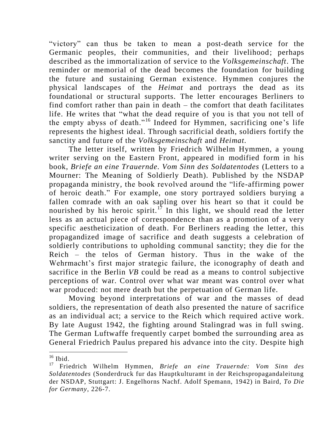"victory" can thus be taken to mean a post-death service for the Germanic peoples, their communities, and their livelihood; perhaps described as the immortalization of service to the *Volksgemeinschaft*. The reminder or memorial of the dead becomes the foundation for building the future and sustaining German existence. Hymmen conjures the physical landscapes of the *Heimat* and portrays the dead as its foundational or structural supports. The letter encourages Berliners to find comfort rather than pain in death – the comfort that death facilitates life. He writes that "what the dead require of you is that you not tell of the empty abyss of death."<sup>16</sup> Indeed for Hymmen, sacrificing one"s life represents the highest ideal. Through sacrificial death, soldiers fortify the sanctity and future of the *Volksgemeinschaft* and *Heimat.* 

The letter itself, written by Friedrich Wilhelm Hymmen, a young writer serving on the Eastern Front, appeared in modified form in his book, *Briefe an eine Trauernde. Vom Sinn des Soldatentodes* (Letters to a Mourner: The Meaning of Soldierly Death). Published by the NSDAP propaganda ministry, the book revolved around the "life-affirming power of heroic death." For example, one story portrayed soldiers burying a fallen comrade with an oak sapling over his heart so that it could be nourished by his heroic spirit.<sup>17</sup> In this light, we should read the letter less as an actual piece of correspondence than as a promotion of a very specific aestheticization of death. For Berliners reading the letter, this propagandized image of sacrifice and death suggests a celebration of soldierly contributions to upholding communal sanctity; they die for the Reich – the telos of German history. Thus in the wake of the Wehrmacht's first major strategic failure, the iconography of death and sacrifice in the Berlin *VB* could be read as a means to control subjective perceptions of war. Control over what war meant was control over what war produced: not mere death but the perpetuation of German life.

Moving beyond interpretations of war and the masses of dead soldiers, the representation of death also presented the nature of sacrifice as an individual act; a service to the Reich which required active work. By late August 1942, the fighting around Stalingrad was in full swing. The German Luftwaffe frequently carpet bombed the surrounding area as General Friedrich Paulus prepared his advance into the city. Despite high

 $\overline{a}$  $16$  Ibid.

<sup>17</sup> Friedrich Wilhelm Hymmen, *Briefe an eine Trauernde: Vom Sinn des Soldatentodes* (Sonderdruck fur das Hauptkulturamt in der Reichspropagandaleitung der NSDAP, Stuttgart: J. Engelhorns Nachf. Adolf Spemann, 1942) in Baird, *To Die for Germany*, 226-7.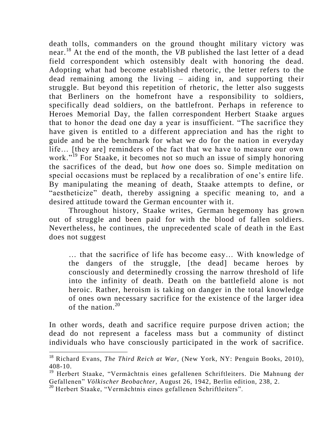death tolls, commanders on the ground thought military victory was near. <sup>18</sup> At the end of the month, the *VB* published the last letter of a dead field correspondent which ostensibly dealt with honoring the dead. Adopting what had become established rhetoric, the letter refers to the dead remaining among the living – aiding in, and supporting their struggle. But beyond this repetition of rhetoric, the letter also suggests that Berliners on the homefront have a responsibility to soldiers, specifically dead soldiers, on the battlefront. Perhaps in reference to Heroes Memorial Day, the fallen correspondent Herbert Staake argues that to honor the dead one day a year is insufficient. "The sacrifice they have given is entitled to a different appreciation and has the right to guide and be the benchmark for what we do for the nation in everyday life… [they are] reminders of the fact that we have to measure our own work."<sup>19</sup> For Staake, it becomes not so much an issue of simply honoring the sacrifices of the dead, but *how* one does so. Simple meditation on special occasions must be replaced by a recalibration of one's entire life. By manipulating the meaning of death, Staake attempts to define, or "aestheticize" death, thereby assigning a specific meaning to, and a desired attitude toward the German encounter with it.

Throughout history, Staake writes, German hegemony has grown out of struggle and been paid for with the blood of fallen soldiers. Nevertheless, he continues, the unprecedented scale of death in the East does not suggest

… that the sacrifice of life has become easy… With knowledge of the dangers of the struggle, [the dead] became heroes by consciously and determinedly crossing the narrow threshold of life into the infinity of death. Death on the battlefield alone is not heroic. Rather, heroism is taking on danger in the total knowledge of ones own necessary sacrifice for the existence of the larger idea of the nation.<sup>20</sup>

In other words, death and sacrifice require purpose driven action; the dead do not represent a faceless mass but a community of distinct individuals who have consciously participated in the work of sacrifice.

<sup>18</sup> Richard Evans, *The Third Reich at War,* (New York, NY: Penguin Books, 2010), 408-10.

<sup>&</sup>lt;sup>19</sup> Herbert Staake, "Vermächtnis eines gefallenen Schriftleiters. Die Mahnung der Gefallenen" *Völkischer Beobachter,* August 26, 1942, Berlin edition, 238, 2.

<sup>20</sup> Herbert Staake, "Vermächtnis eines gefallenen Schriftleiters".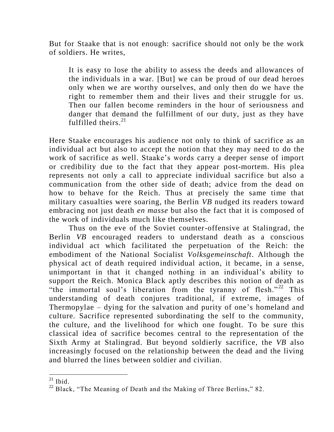But for Staake that is not enough: sacrifice should not only be the work of soldiers. He writes,

It is easy to lose the ability to assess the deeds and allowances of the individuals in a war. [But] we can be proud of our dead heroes only when we are worthy ourselves, and only then do we have the right to remember them and their lives and their struggle for us. Then our fallen become reminders in the hour of seriousness and danger that demand the fulfillment of our duty, just as they have fulfilled theirs.  $21$ 

Here Staake encourages his audience not only to think of sacrifice as an individual act but also to accept the notion that they may need to do the work of sacrifice as well. Staake"s words carry a deeper sense of import or credibility due to the fact that they appear post-mortem. His plea represents not only a call to appreciate individual sacrifice but also a communication from the other side of death; advice from the dead on how to behave for the Reich. Thus at precisely the same time that military casualties were soaring, the Berlin *VB* nudged its readers toward embracing not just death *en masse* but also the fact that it is composed of the work of individuals much like themselves.

Thus on the eve of the Soviet counter-offensive at Stalingrad, the Berlin *VB* encouraged readers to understand death as a conscious individual act which facilitated the perpetuation of the Reich: the embodiment of the National Socialist *Volksgemeinschaft*. Although the physical act of death required individual action, it became, in a sense, unimportant in that it changed nothing in an individual"s ability to support the Reich. Monica Black aptly describes this notion of death as "the immortal soul's liberation from the tyranny of flesh." $^{22}$  This understanding of death conjures traditional, if extreme, images of Thermopylae – dying for the salvation and purity of one"s homeland and culture. Sacrifice represented subordinating the self to the community, the culture, and the livelihood for which one fought. To be sure this classical idea of sacrifice becomes central to the representation of the Sixth Army at Stalingrad. But beyond soldierly sacrifice, the *VB* also increasingly focused on the relationship between the dead and the living and blurred the lines between soldier and civilian.

 $\overline{a}$  $21$  Ibid.

 $22$  Black, "The Meaning of Death and the Making of Three Berlins," 82.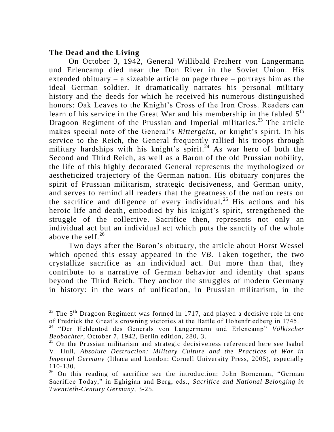### **The Dead and the Living**

 $\overline{a}$ 

On October 3, 1942, General Willibald Freiherr von Langermann und Erlencamp died near the Don River in the Soviet Union. His extended obituary – a sizeable article on page three – portrays him as the ideal German soldier. It dramatically narrates his personal military history and the deeds for which he received his numerous distinguished honors: Oak Leaves to the Knight's Cross of the Iron Cross. Readers can learn of his service in the Great War and his membership in the fabled  $5<sup>th</sup>$ Dragoon Regiment of the Prussian and Imperial militaries.<sup>23</sup> The article makes special note of the General's *Rittergeist*, or knight's spirit. In his service to the Reich, the General frequently rallied his troops through military hardships with his knight's spirit.<sup>24</sup> As war hero of both the Second and Third Reich, as well as a Baron of the old Prussian nobility, the life of this highly decorated General represents the mythologized or aestheticized trajectory of the German nation. His obituary conjures the spirit of Prussian militarism, strategic decisiveness, and German unity, and serves to remind all readers that the greatness of the nation rests on the sacrifice and diligence of every individual.<sup>25</sup> His actions and his heroic life and death, embodied by his knight's spirit, strengthened the struggle of the collective. Sacrifice then, represents not only an individual act but an individual act which puts the sanctity of the whole above the self. $^{26}$ 

Two days after the Baron's obituary, the article about Horst Wessel which opened this essay appeared in the *VB*. Taken together, the two crystallize sacrifice as an individual act. But more than that, they contribute to a narrative of German behavior and identity that spans beyond the Third Reich. They anchor the struggles of modern Germany in history: in the wars of unification, in Prussian militarism, in the

<sup>&</sup>lt;sup>23</sup> The 5<sup>th</sup> Dragoon Regiment was formed in 1717, and played a decisive role in one of Fredrick the Great"s crowning victories at the Battle of Hohenfriedberg in 1745.

<sup>24</sup> "Der Heldentod des Generals von Langermann und Erlencamp" *Völkischer Beobachter,* October 7, 1942, Berlin edition, 280, 3.

<sup>&</sup>lt;sup>25</sup> On the Prussian militarism and strategic decisiveness referenced here see Isabel V. Hull, *Absolute Destruction: Military Culture and the Practices of War in Imperial Germany* (Ithaca and London: Cornell University Press, 2005), especially 110-130.

 $26$  On this reading of sacrifice see the introduction: John Borneman, "German Sacrifice Today," in Eghigian and Berg, eds., *Sacrifice and National Belonging in Twentieth-Century Germany,* 3-25.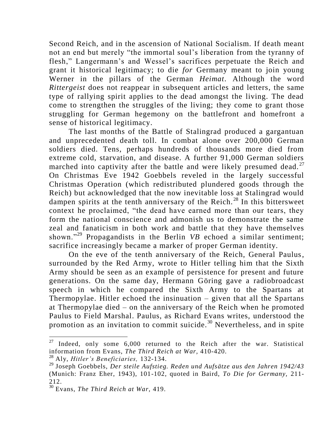Second Reich, and in the ascension of National Socialism. If death meant not an end but merely "the immortal soul"s liberation from the tyranny of flesh," Langermann's and Wessel's sacrifices perpetuate the Reich and grant it historical legitimacy; to die *for* Germany meant to join young Werner in the pillars of the German *Heimat*. Although the word *Rittergeist* does not reappear in subsequent articles and letters, the same type of rallying spirit applies to the dead amongst the living. The dead come to strengthen the struggles of the living; they come to grant those struggling for German hegemony on the battlefront and homefront a sense of historical legitimacy.

The last months of the Battle of Stalingrad produced a gargantuan and unprecedented death toll. In combat alone over 200,000 German soldiers died. Tens, perhaps hundreds of thousands more died from extreme cold, starvation, and disease. A further 91,000 German soldiers marched into captivity after the battle and were likely presumed dead.<sup>27</sup> On Christmas Eve 1942 Goebbels reveled in the largely successful Christmas Operation (which redistributed plundered goods through the Reich) but acknowledged that the now inevitable loss at Stalingrad would dampen spirits at the tenth anniversary of the Reich.<sup>28</sup> In this bittersweet context he proclaimed, "the dead have earned more than our tears, they form the national conscience and admonish us to demonstrate the same zeal and fanaticism in both work and battle that they have themselves shown."<sup>29</sup> Propagandists in the Berlin *VB* echoed a similar sentiment; sacrifice increasingly became a marker of proper German identity.

On the eve of the tenth anniversary of the Reich, General Paulus, surrounded by the Red Army, wrote to Hitler telling him that the Sixth Army should be seen as an example of persistence for present and future generations. On the same day, Hermann Göring gave a radiobroadcast speech in which he compared the Sixth Army to the Spartans at Thermopylae. Hitler echoed the insinuation – given that all the Spartans at Thermopylae died – on the anniversary of the Reich when he promoted Paulus to Field Marshal. Paulus, as Richard Evans writes, understood the promotion as an invitation to commit suicide.<sup>30</sup> Nevertheless, and in spite

Indeed, only some 6,000 returned to the Reich after the war. Statistical information from Evans, *The Third Reich at War,* 410-420.

<sup>28</sup> Aly, *Hitler's Beneficiaries,* 132-134.

<sup>29</sup> Joseph Goebbels, *Der steile Aufstieg. Reden und Aufsätze aus den Jahren 1942/43* (Munich: Franz Eher, 1943), 101-102, quoted in Baird, *To Die for Germany,* 211- 212.

<sup>30</sup> Evans, *The Third Reich at War,* 419.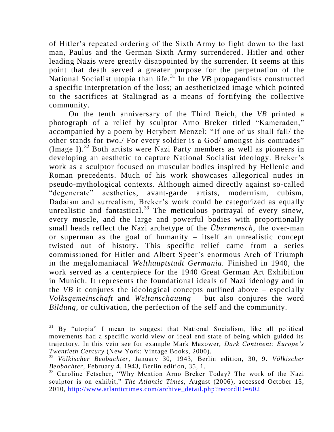of Hitler"s repeated ordering of the Sixth Army to fight down to the last man, Paulus and the German Sixth Army surrendered. Hitler and other leading Nazis were greatly disappointed by the surrender. It seems at this point that death served a greater purpose for the perpetuation of the National Socialist utopia than life.<sup>31</sup> In the *VB* propagandists constructed a specific interpretation of the loss; an aestheticized image which pointed to the sacrifices at Stalingrad as a means of fortifying the collective community.

On the tenth anniversary of the Third Reich, the *VB* printed a photograph of a relief by sculptor Arno Breker titled "Kameraden," accompanied by a poem by Herybert Menzel: "If one of us shall fall/ the other stands for two./ For every soldier is a God/ amongst his comrades" (Image I).<sup>32</sup> Both artists were Nazi Party members as well as pioneers in developing an aesthetic to capture National Socialist ideology. Breker's work as a sculptor focused on muscular bodies inspired by Hellenic and Roman precedents. Much of his work showcases allegorical nudes in pseudo-mythological contexts. Although aimed directly against so-called "degenerate" aesthetics, avant-garde artists, modernism, cubism, Dadaism and surrealism, Breker"s work could be categorized as equally unrealistic and fantastical.<sup>33</sup> The meticulous portrayal of every sinew, every muscle, and the large and powerful bodies with proportionally small heads reflect the Nazi archetype of the *Übermensch*, the over-man or superman as the goal of humanity – itself an unrealistic concept twisted out of history. This specific relief came from a series commissioned for Hitler and Albert Speer"s enormous Arch of Triumph in the megalomaniacal *Welthauptstadt Germania.* Finished in 1940, the work served as a centerpiece for the 1940 Great German Art Exhibition in Munich. It represents the foundational ideals of Nazi ideology and in the *VB* it conjures the ideological concepts outlined above – especially *Volksgemeinschaft* and *Weltanschauung –* but also conjures the word *Bildung,* or cultivation, the perfection of the self and the community.

 $31$  By "utopia" I mean to suggest that National Socialism, like all political movements had a specific world view or ideal end state of being which guided its trajectory. In this vein see for example Mark Mazower, *Dark Continent: Europe's Twentieth Century* (New York: Vintage Books, 2000).

<sup>32</sup> *Völkischer Beobachter,* January 30, 1943, Berlin edition, 30, 9. *Völkischer Beobachter,* February 4, 1943, Berlin edition, 35, 1.

<sup>&</sup>lt;sup>33</sup> Caroline Fetscher, "Why Mention Arno Breker Today? The work of the Nazi sculptor is on exhibit," *The Atlantic Times,* August (2006), accessed October 15, 2010, [http://www.atlantictimes.com/archive\\_detail.php?recordID=602](http://www.atlantictimes.com/archive_detail.php?recordID=602)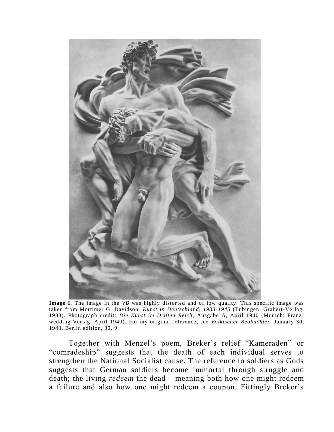

**Image I.** The image in the *VB* was highly distorted and of low quality. This specific image was taken from Mortimer G. Davidson, *Kunst in Deutschland, 1933-1945* (Tubingen: Grabert-Verlag, 1988). Photograph credit: *Die Kunst im Dritten Reich,* Ausgabe A, April 1940 (Munich: Franz wedding-Verlag, April 1940). For my original reference, see *Völkischer Beobachter,* January 30, 1943, Berlin edition, 30, 9.

Together with Menzel"s poem, Breker"s relief "Kameraden" or "comradeship" suggests that the death of each individual serves to strengthen the National Socialist cause. The reference to soldiers as Gods suggests that German soldiers become immortal through struggle and death; the living *redeem* the dead – meaning both how one might redeem a failure and also how one might redeem a coupon. Fittingly Breker's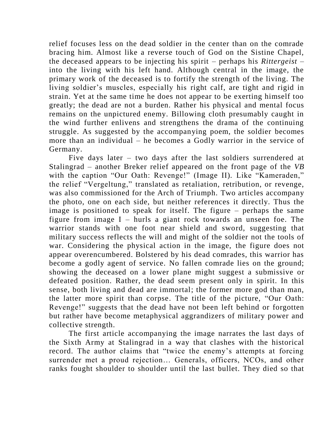relief focuses less on the dead soldier in the center than on the comrade bracing him. Almost like a reverse touch of God on the Sistine Chapel, the deceased appears to be injecting his spirit – perhaps his *Rittergeist* – into the living with his left hand. Although central in the image, the primary work of the deceased is to fortify the strength of the living. The living soldier"s muscles, especially his right calf, are tight and rigid in strain. Yet at the same time he does not appear to be exerting himself too greatly; the dead are not a burden. Rather his physical and mental focus remains on the unpictured enemy. Billowing cloth presumably caught in the wind further enlivens and strengthens the drama of the continuing struggle. As suggested by the accompanying poem, the soldier becomes more than an individual – he becomes a Godly warrior in the service of Germany.

Five days later – two days after the last soldiers surrendered at Stalingrad – another Breker relief appeared on the front page of the *VB* with the caption "Our Oath: Revenge!" (Image II). Like "Kameraden," the relief "Vergeltung," translated as retaliation, retribution, or revenge, was also commissioned for the Arch of Triumph. Two articles accompany the photo, one on each side, but neither references it directly. Thus the image is positioned to speak for itself. The figure – perhaps the same figure from image  $I$  – hurls a giant rock towards an unseen foe. The warrior stands with one foot near shield and sword, suggesting that military success reflects the will and might of the soldier not the tools of war. Considering the physical action in the image, the figure does not appear overencumbered. Bolstered by his dead comrades, this warrior has become a godly agent of service. No fallen comrade lies on the ground; showing the deceased on a lower plane might suggest a submissive or defeated position. Rather, the dead seem present only in spirit. In this sense, both living and dead are immortal; the former more god than man, the latter more spirit than corpse. The title of the picture, "Our Oath: Revenge!" suggests that the dead have not been left behind or forgotten but rather have become metaphysical aggrandizers of military power and collective strength.

The first article accompanying the image narrates the last days of the Sixth Army at Stalingrad in a way that clashes with the historical record. The author claims that "twice the enemy's attempts at forcing surrender met a proud rejection… Generals, officers, NCOs, and other ranks fought shoulder to shoulder until the last bullet. They died so that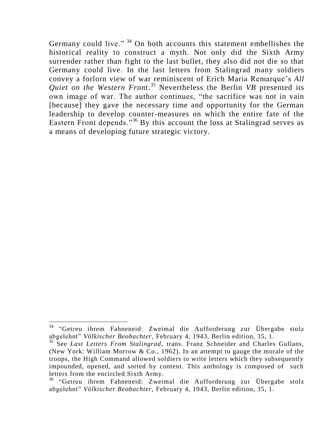Germany could live." <sup>34</sup> On both accounts this statement embellishes the historical reality to construct a myth. Not only did the Sixth Army surrender rather than fight to the last bullet, they also did not die so that Germany could live. In the last letters from Stalingrad many soldiers convey a forlorn view of war reminiscent of Erich Maria Remarque"s *All Quiet on the Western Front*. <sup>35</sup> Nevertheless the Berlin *VB* presented its own image of war. The author continues, "the sacrifice was not in vain [because] they gave the necessary time and opportunity for the German leadership to develop counter-measures on which the entire fate of the Eastern Front depends."<sup>36</sup> By this account the loss at Stalingrad serves as a means of developing future strategic victory.

<sup>&</sup>lt;sup>34</sup> "Getreu ihrem Fahneneid: Zweimal die Aufforderung zur Übergabe stolz abgelehnt" *Völkischer Beobachter,* February 4, 1943, Berlin edition, 35, 1.

<sup>35</sup> See *Last Letters From Stalingrad,* trans. Franz Schneider and Charles Gullans, (New York: William Morrow & Co., 1962). In an attempt to gauge the morale of the troops, the High Command allowed soldiers to write letters which they subsequently impounded, opened, and sorted by content. This anthology is composed of such letters from the encircled Sixth Army.

<sup>&</sup>lt;sup>36</sup> "Getreu ihrem Fahneneid: Zweimal die Aufforderung zur Übergabe stolz abgelehnt" *Völkischer Beobachter,* February 4, 1943, Berlin edition, 35, 1.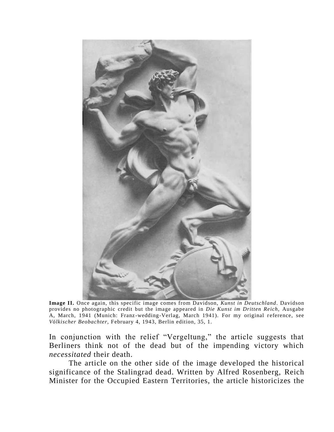

**Image II.** Once again, this specific image comes from Davidson, *Kunst in Deutschland*. Davidson provides no photographic credit but the image appeared in *Die Kunst im Dritten Reich,* Ausgabe A, March, 1941 (Munich: Franz-wedding-Verlag, March 1941). For my original reference, see *Völkischer Beobachter,* February 4, 1943, Berlin edition, 35, 1.

In conjunction with the relief "Vergeltung," the article suggests that Berliners think not of the dead but of the impending victory which *necessitated* their death.

The article on the other side of the image developed the historical significance of the Stalingrad dead. Written by Alfred Rosenberg, Reich Minister for the Occupied Eastern Territories, the article historicizes the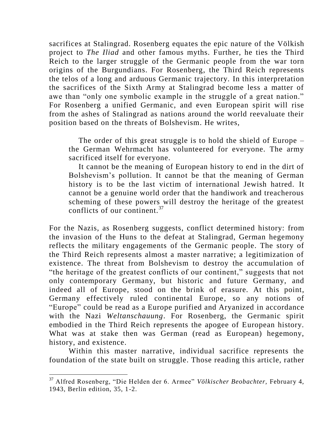sacrifices at Stalingrad. Rosenberg equates the epic nature of the Völkish project to *The Iliad* and other famous myths. Further, he ties the Third Reich to the larger struggle of the Germanic people from the war torn origins of the Burgundians. For Rosenberg, the Third Reich represents the telos of a long and arduous Germanic trajectory. In this interpretation the sacrifices of the Sixth Army at Stalingrad become less a matter of awe than "only one symbolic example in the struggle of a great nation." For Rosenberg a unified Germanic, and even European spirit will rise from the ashes of Stalingrad as nations around the world reevaluate their position based on the threats of Bolshevism. He writes,

The order of this great struggle is to hold the shield of Europe – the German Wehrmacht has volunteered for everyone. The army sacrificed itself for everyone.

It cannot be the meaning of European history to end in the dirt of Bolshevism"s pollution. It cannot be that the meaning of German history is to be the last victim of international Jewish hatred. It cannot be a genuine world order that the handiwork and treacherous scheming of these powers will destroy the heritage of the greatest conflicts of our continent.  $37$ 

For the Nazis, as Rosenberg suggests, conflict determined history: from the invasion of the Huns to the defeat at Stalingrad, German hegemony reflects the military engagements of the Germanic people. The story of the Third Reich represents almost a master narrative; a legitimization of existence. The threat from Bolshevism to destroy the accumulation of "the heritage of the greatest conflicts of our continent," suggests that not only contemporary Germany, but historic and future Germany, and indeed all of Europe, stood on the brink of erasure. At this point, Germany effectively ruled continental Europe, so any notions of "Europe" could be read as a Europe purified and Aryanized in accordance with the Nazi *Weltanschauung*. For Rosenberg, the Germanic spirit embodied in the Third Reich represents the apogee of European history. What was at stake then was German (read as European) hegemony, history, and existence.

Within this master narrative, individual sacrifice represents the foundation of the state built on struggle. Those reading this article, rather

<sup>37</sup> Alfred Rosenberg, "Die Helden der 6. Armee" *Völkischer Beobachter,* February 4, 1943, Berlin edition, 35, 1-2.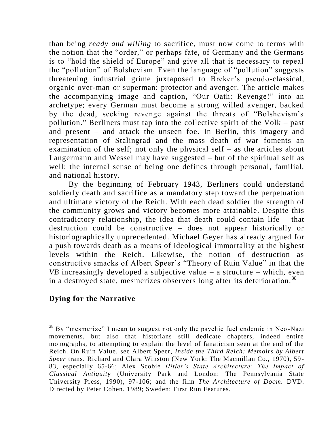than being *ready and willing* to sacrifice, must now come to terms with the notion that the "order," or perhaps fate, of Germany and the Germans is to "hold the shield of Europe" and give all that is necessary to repeal the "pollution" of Bolshevism. Even the language of "pollution" suggests threatening industrial grime juxtaposed to Breker"s pseudo-classical, organic over-man or superman: protector and avenger. The article makes the accompanying image and caption, "Our Oath: Revenge!" into an archetype; every German must become a strong willed avenger, backed by the dead, seeking revenge against the threats of "Bolshevism"s pollution." Berliners must tap into the collective spirit of the Volk – past and present – and attack the unseen foe. In Berlin, this imagery and representation of Stalingrad and the mass death of war foments an examination of the self; not only the physical self – as the articles about Langermann and Wessel may have suggested – but of the spiritual self as well: the internal sense of being one defines through personal, familial, and national history.

By the beginning of February 1943, Berliners could understand soldierly death and sacrifice as a mandatory step toward the perpetuation and ultimate victory of the Reich. With each dead soldier the strength of the community grows and victory becomes more attainable. Despite this contradictory relationship, the idea that death could contain life – that destruction could be constructive – does not appear historically or historiographically unprecedented. Michael Geyer has already argued for a push towards death as a means of ideological immortality at the highest levels within the Reich. Likewise, the notion of destruction as constructive smacks of Albert Speer's "Theory of Ruin Value" in that the *VB* increasingly developed a subjective value – a structure – which, even in a destroyed state, mesmerizes observers long after its deterioration.<sup>38</sup>

## **Dying for the Narrative**

 $38$  By "mesmerize" I mean to suggest not only the psychic fuel endemic in Neo-Nazi movements, but also that historians still dedicate chapters, indeed entire monographs, to attempting to explain the level of fanaticism seen at the end of the Reich. On Ruin Value, see Albert Speer, *Inside the Third Reich: Memoirs by Albert Speer* trans. Richard and Clara Winston (New York: The Macmillan Co., 1970), 59 - 83, especially 65-66; Alex Scobie *Hitler's State Architecture: The Impact of Classical Antiquity* (University Park and London: The Pennsylvania State University Press, 1990), 97-106; and the film *The Architecture of Doom.* DVD. Directed by Peter Cohen. 1989; Sweden: First Run Features.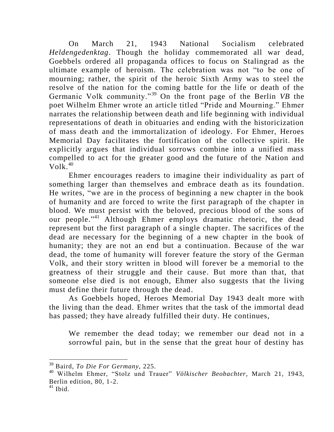On March 21, 1943 National Socialism celebrated *Heldengedenktag*. Though the holiday commemorated all war dead, Goebbels ordered all propaganda offices to focus on Stalingrad as the ultimate example of heroism. The celebration was not "to be one of mourning; rather, the spirit of the heroic Sixth Army was to steel the resolve of the nation for the coming battle for the life or death of the Germanic Volk community.<sup>39</sup> On the front page of the Berlin *VB* the poet Wilhelm Ehmer wrote an article titled "Pride and Mourning." Ehmer narrates the relationship between death and life beginning with individual representations of death in obituaries and ending with the historicization of mass death and the immortalization of ideology. For Ehmer, Heroes Memorial Day facilitates the fortification of the collective spirit. He explicitly argues that individual sorrows combine into a unified mass compelled to act for the greater good and the future of the Nation and  $Volk<sup>40</sup>$ 

Ehmer encourages readers to imagine their individuality as part of something larger than themselves and embrace death as its foundation. He writes, "we are in the process of beginning a new chapter in the book of humanity and are forced to write the first paragraph of the chapter in blood. We must persist with the beloved, precious blood of the sons of our people."<sup>41</sup> Although Ehmer employs dramatic rhetoric, the dead represent but the first paragraph of a single chapter. The sacrifices of the dead are necessary for the beginning of a new chapter in the book of humanity; they are not an end but a continuation. Because of the war dead, the tome of humanity will forever feature the story of the German Volk, and their story written in blood will forever be a memorial to the greatness of their struggle and their cause. But more than that, that someone else died is not enough, Ehmer also suggests that the living must define their future through the dead.

As Goebbels hoped, Heroes Memorial Day 1943 dealt more with the living than the dead. Ehmer writes that the task of the immortal dead has passed; they have already fulfilled their duty. He continues,

We remember the dead today; we remember our dead not in a sorrowful pain, but in the sense that the great hour of destiny has

<sup>39</sup> Baird, *To Die For Germany,* 225.

<sup>40</sup> Wilhelm Ehmer, "Stolz und Trauer" *Völkischer Beobachter,* March 21, 1943, Berlin edition, 80, 1-2.

 $41$  Ibid.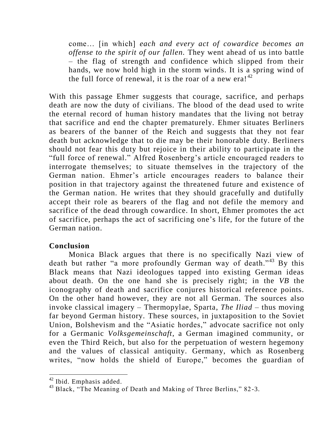come… [in which] *each and every act of cowardice becomes an offense to the spirit of our fallen.* They went ahead of us into battle – the flag of strength and confidence which slipped from their hands, we now hold high in the storm winds. It is a spring wind of the full force of renewal, it is the roar of a new era! $^{42}$ 

With this passage Ehmer suggests that courage, sacrifice, and perhaps death are now the duty of civilians. The blood of the dead used to write the eternal record of human history mandates that the living not betray that sacrifice and end the chapter prematurely. Ehmer situates Berliners as bearers of the banner of the Reich and suggests that they not fear death but acknowledge that to die may be their honorable duty. Berliners should not fear this duty but rejoice in their ability to participate in the "full force of renewal." Alfred Rosenberg's article encouraged readers to interrogate themselves; to situate themselves in the trajectory of the German nation. Ehmer"s article encourages readers to balance their position in that trajectory against the threatened future and existence of the German nation. He writes that they should gracefully and dutifully accept their role as bearers of the flag and not defile the memory and sacrifice of the dead through cowardice. In short, Ehmer promotes the act of sacrifice, perhaps the act of sacrificing one"s life, for the future of the German nation.

### **Conclusion**

Monica Black argues that there is no specifically Nazi view of death but rather "a more profoundly German way of death."<sup>43</sup> By this Black means that Nazi ideologues tapped into existing German ideas about death. On the one hand she is precisely right; in the *VB* the iconography of death and sacrifice conjures historical reference points. On the other hand however, they are not all German. The sources also invoke classical imagery – Thermopylae, Sparta, *The Iliad* – thus moving far beyond German history. These sources, in juxtaposition to the Soviet Union, Bolshevism and the "Asiatic hordes," advocate sacrifice not only for a Germanic *Volksgemeinschaft*, a German imagined community, or even the Third Reich, but also for the perpetuation of western hegemony and the values of classical antiquity. Germany, which as Rosenberg writes, "now holds the shield of Europe," becomes the guardian of

<sup>42</sup> Ibid. Emphasis added.

<sup>&</sup>lt;sup>43</sup> Black, "The Meaning of Death and Making of Three Berlins," 82-3.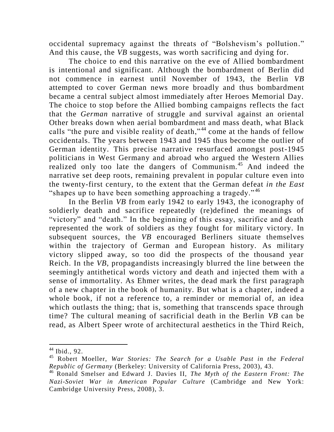occidental supremacy against the threats of "Bolshevism"s pollution." And this cause, the *VB* suggests, was worth sacrificing and dying for.

The choice to end this narrative on the eve of Allied bombardment is intentional and significant. Although the bombardment of Berlin did not commence in earnest until November of 1943, the Berlin *VB* attempted to cover German news more broadly and thus bombardment became a central subject almost immediately after Heroes Memorial Day. The choice to stop before the Allied bombing campaigns reflects the fact that the *German* narrative of struggle and survival against an oriental Other breaks down when aerial bombardment and mass death, what Black calls "the pure and visible reality of death,"<sup>44</sup> come at the hands of fellow occidentals. The years between 1943 and 1945 thus become the outlier of German identity. This precise narrative resurfaced amongst post-1945 politicians in West Germany and abroad who argued the Western Allies realized only too late the dangers of Communism.<sup>45</sup> And indeed the narrative set deep roots, remaining prevalent in popular culture even into the twenty-first century, to the extent that the German defeat *in the East*  "shapes up to have been something approaching a tragedy."<sup>46</sup>

In the Berlin *VB* from early 1942 to early 1943, the iconography of soldierly death and sacrifice repeatedly (re)defined the meanings of "victory" and "death." In the beginning of this essay, sacrifice and death represented the work of soldiers as they fought for military victory. In subsequent sources, the *VB* encouraged Berliners situate themselves within the trajectory of German and European history. As military victory slipped away, so too did the prospects of the thousand year Reich. In the *VB*, propagandists increasingly blurred the line between the seemingly antithetical words victory and death and injected them with a sense of immortality. As Ehmer writes, the dead mark the first paragraph of a new chapter in the book of humanity. But what is a chapter, indeed a whole book, if not a reference to, a reminder or memorial of, an idea which outlasts the thing; that is, something that transcends space through time? The cultural meaning of sacrificial death in the Berlin *VB* can be read, as Albert Speer wrote of architectural aesthetics in the Third Reich,

 $44$  Ibid., 92.

<sup>45</sup> Robert Moeller, *War Stories: The Search for a Usable Past in the Federal Republic of Germany* (Berkeley: University of California Press, 2003), 43.

<sup>46</sup> Ronald Smelser and Edward J. Davies II, *The Myth of the Eastern Front: The Nazi-Soviet War in American Popular Culture* (Cambridge and New York: Cambridge University Press, 2008), 3.